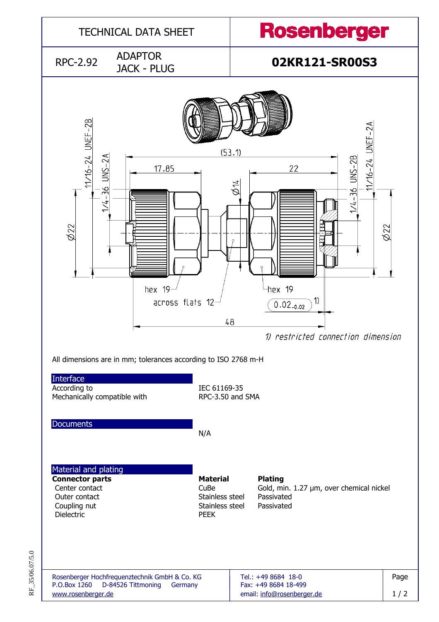

RF\_35/06.07/5.0 RF\_35/06.07/5.0